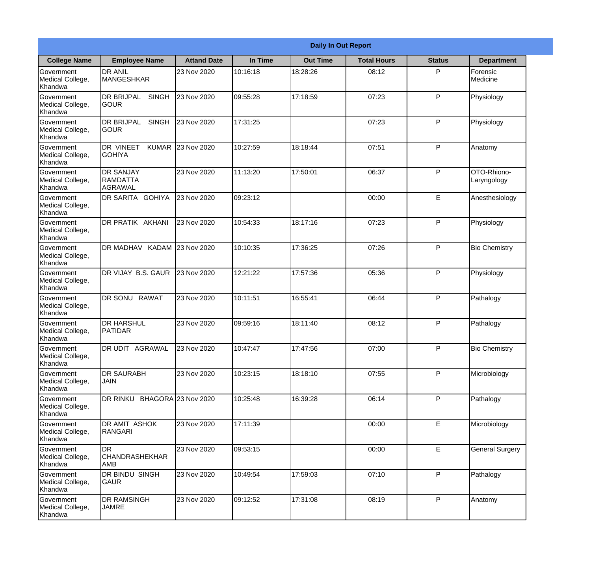|                                                  | <b>Daily In Out Report</b>                         |                    |          |                 |                    |               |                            |  |
|--------------------------------------------------|----------------------------------------------------|--------------------|----------|-----------------|--------------------|---------------|----------------------------|--|
| <b>College Name</b>                              | <b>Employee Name</b>                               | <b>Attand Date</b> | In Time  | <b>Out Time</b> | <b>Total Hours</b> | <b>Status</b> | <b>Department</b>          |  |
| Government<br>Medical College,<br>Khandwa        | <b>DR ANIL</b><br><b>MANGESHKAR</b>                | 23 Nov 2020        | 10:16:18 | 18:28:26        | 08:12              | P             | Forensic<br>Medicine       |  |
| Government<br>Medical College,<br>Khandwa        | <b>DR BRIJPAL</b><br><b>SINGH</b><br> GOUR         | 23 Nov 2020        | 09:55:28 | 17:18:59        | 07:23              | P             | Physiology                 |  |
| <b>Government</b><br>Medical College,<br>Khandwa | <b>DR BRIJPAL</b><br><b>SINGH</b><br><b>SOUR</b>   | 23 Nov 2020        | 17:31:25 |                 | 07:23              | P             | Physiology                 |  |
| <b>Government</b><br>Medical College,<br>Khandwa | <b>DR VINEET</b><br><b>GOHIYA</b>                  | KUMAR 23 Nov 2020  | 10:27:59 | 18:18:44        | 07:51              | P             | Anatomy                    |  |
| Government<br>Medical College,<br>Khandwa        | <b>DR SANJAY</b><br>RAMDATTA<br>AGRAWAL            | 23 Nov 2020        | 11:13:20 | 17:50:01        | 06:37              | P             | OTO-Rhiono-<br>Laryngology |  |
| Government<br>Medical College,<br>Khandwa        | DR SARITA GOHIYA                                   | 23 Nov 2020        | 09:23:12 |                 | 00:00              | E             | Anesthesiology             |  |
| <b>Government</b><br>Medical College,<br>Khandwa | DR PRATIK AKHANI                                   | 23 Nov 2020        | 10:54:33 | 18:17:16        | 07:23              | P             | Physiology                 |  |
| Government<br>Medical College,<br>Khandwa        | DR MADHAV KADAM 23 Nov 2020                        |                    | 10:10:35 | 17:36:25        | 07:26              | P             | <b>Bio Chemistry</b>       |  |
| Government<br>Medical College,<br>Khandwa        | DR VIJAY B.S. GAUR                                 | 23 Nov 2020        | 12:21:22 | 17:57:36        | 05:36              | P             | Physiology                 |  |
| Government<br>Medical College,<br>Khandwa        | <b>RAWAT</b><br>DR SONU                            | 23 Nov 2020        | 10:11:51 | 16:55:41        | 06:44              | P             | Pathalogy                  |  |
| Government<br>Medical College,<br>Khandwa        | <b>DR HARSHUL</b><br><b>PATIDAR</b>                | 23 Nov 2020        | 09:59:16 | 18:11:40        | 08:12              | P             | Pathalogy                  |  |
| Government<br>Medical College,<br>Khandwa        | <b>DR UDIT AGRAWAL</b>                             | 23 Nov 2020        | 10:47:47 | 17:47:56        | 07:00              | P             | <b>Bio Chemistry</b>       |  |
| Government<br>Medical College,<br>Khandwa        | <b>DR SAURABH</b><br><b>JAIN</b>                   | 23 Nov 2020        | 10:23:15 | 18:18:10        | 07:55              | P             | Microbiology               |  |
| Government<br>Medical College,<br>Khandwa        | DR RINKU BHAGORA 23 Nov 2020                       |                    | 10:25:48 | 16:39:28        | 06:14              | P             | Pathalogy                  |  |
| Government<br>Medical College,<br>Khandwa        | DR AMIT ASHOK<br>RANGARI                           | 23 Nov 2020        | 17:11:39 |                 | 00:00              | E             | Microbiology               |  |
| Government<br>Medical College,<br>Khandwa        | <b>I</b> DR<br><b>CHANDRASHEKHAR</b><br><b>AMB</b> | 23 Nov 2020        | 09:53:15 |                 | 00:00              | E             | <b>General Surgery</b>     |  |
| Government<br>Medical College,<br>Khandwa        | DR BINDU SINGH<br><b>GAUR</b>                      | 23 Nov 2020        | 10:49:54 | 17:59:03        | 07:10              | P             | Pathalogy                  |  |
| Government<br>Medical College,<br>Khandwa        | <b>DR RAMSINGH</b><br><b>JAMRE</b>                 | 23 Nov 2020        | 09:12:52 | 17:31:08        | 08:19              | P             | Anatomy                    |  |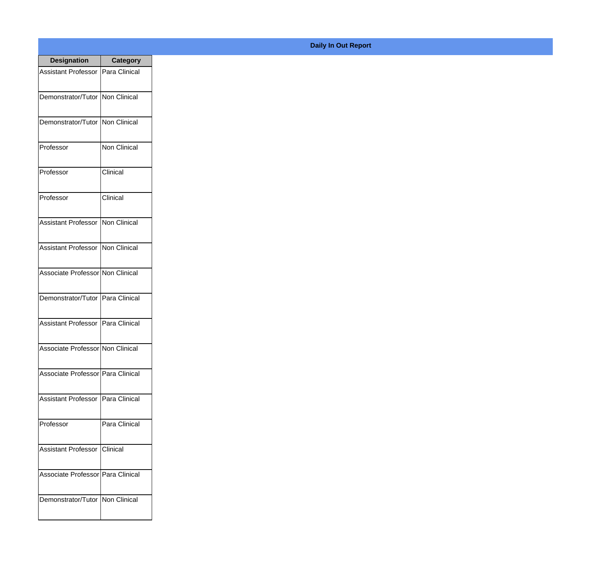| <b>Designation</b>                       | <b>Category</b> |
|------------------------------------------|-----------------|
| Assistant Professor   Para Clinical      |                 |
| Demonstrator/Tutor   Non Clinical        |                 |
| Demonstrator/Tutor   Non Clinical        |                 |
| Professor                                | Non Clinical    |
| Professor                                | Clinical        |
| Professor                                | Clinical        |
| <b>Assistant Professor INon Clinical</b> |                 |
| Assistant Professor Non Clinical         |                 |
| Associate Professor Non Clinical         |                 |
| Demonstrator/Tutor   Para Clinical       |                 |
| Assistant Professor   Para Clinical      |                 |
| Associate Professor Non Clinical         |                 |
| Associate Professor Para Clinical        |                 |
| Assistant Professor   Para Clinical      |                 |
| Professor                                | Para Clinical   |
| <b>Assistant Professor   Clinical</b>    |                 |
| Associate Professor Para Clinical        |                 |
| Demonstrator/Tutor   Non Clinical        |                 |

## **Daily In Out Report**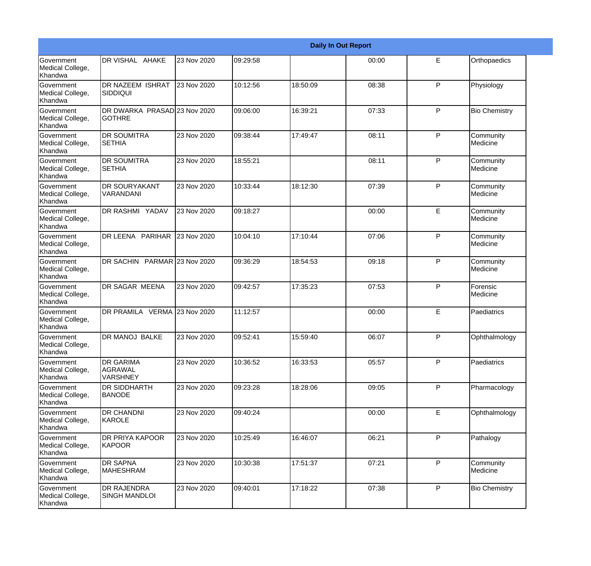|                                                  | <b>Daily In Out Report</b>                            |             |          |          |       |              |                       |  |
|--------------------------------------------------|-------------------------------------------------------|-------------|----------|----------|-------|--------------|-----------------------|--|
| <b>Government</b><br>Medical College,<br>Khandwa | DR VISHAL AHAKE                                       | 23 Nov 2020 | 09:29:58 |          | 00:00 | E            | Orthopaedics          |  |
| <b>Government</b><br>Medical College,<br>Khandwa | DR NAZEEM ISHRAT<br><b>SIDDIQUI</b>                   | 23 Nov 2020 | 10:12:56 | 18:50:09 | 08:38 | $\mathsf{P}$ | Physiology            |  |
| <b>Government</b><br>Medical College,<br>Khandwa | DR DWARKA PRASAD 23 Nov 2020<br>lgothre               |             | 09:06:00 | 16:39:21 | 07:33 | P            | <b>Bio Chemistry</b>  |  |
| <b>Government</b><br>Medical College,<br>Khandwa | <b>DR SOUMITRA</b><br><b>SETHIA</b>                   | 23 Nov 2020 | 09:38:44 | 17:49:47 | 08:11 | P            | Community<br>Medicine |  |
| Government<br>Medical College,<br>Khandwa        | <b>DR SOUMITRA</b><br><b>SETHIA</b>                   | 23 Nov 2020 | 18:55:21 |          | 08:11 | P            | Community<br>Medicine |  |
| <b>Government</b><br>Medical College,<br>Khandwa | <b>DR SOURYAKANT</b><br>VARANDANI                     | 23 Nov 2020 | 10:33:44 | 18:12:30 | 07:39 | $\mathsf{P}$ | Community<br>Medicine |  |
| Government<br>Medical College,<br>Khandwa        | DR RASHMI YADAV                                       | 23 Nov 2020 | 09:18:27 |          | 00:00 | E            | Community<br>Medicine |  |
| Government<br>Medical College,<br>Khandwa        | DR LEENA PARIHAR                                      | 23 Nov 2020 | 10:04:10 | 17:10:44 | 07:06 | P            | Community<br>Medicine |  |
| Government<br>Medical College,<br>Khandwa        | DR SACHIN PARMAR 23 Nov 2020                          |             | 09:36:29 | 18:54:53 | 09:18 | $\mathsf{P}$ | Community<br>Medicine |  |
| <b>Government</b><br>Medical College,<br>Khandwa | DR SAGAR MEENA                                        | 23 Nov 2020 | 09:42:57 | 17:35:23 | 07:53 | P            | Forensic<br>Medicine  |  |
| <b>Government</b><br>Medical College,<br>Khandwa | DR PRAMILA VERMA 23 Nov 2020                          |             | 11:12:57 |          | 00:00 | E            | Paediatrics           |  |
| Government<br>Medical College,<br>Khandwa        | DR MANOJ BALKE                                        | 23 Nov 2020 | 09:52:41 | 15:59:40 | 06:07 | P            | Ophthalmology         |  |
| Government<br>Medical College,<br>Khandwa        | <b>DR GARIMA</b><br><b>AGRAWAL</b><br><b>VARSHNEY</b> | 23 Nov 2020 | 10:36:52 | 16:33:53 | 05:57 | P            | Paediatrics           |  |
| Government<br>Medical College,<br>Khandwa        | <b>DR SIDDHARTH</b><br><b>BANODE</b>                  | 23 Nov 2020 | 09:23:28 | 18:28:06 | 09:05 | $\mathsf{P}$ | Pharmacology          |  |
| Government<br>Medical College,<br>Khandwa        | <b>DR CHANDNI</b><br>KAROLE                           | 23 Nov 2020 | 09:40:24 |          | 00:00 | E            | Ophthalmology         |  |
| Government<br>Medical College,<br>Khandwa        | DR PRIYA KAPOOR<br>KAPOOR                             | 23 Nov 2020 | 10:25:49 | 16:46:07 | 06:21 | P            | Pathalogy             |  |
| Government<br>Medical College,<br>Khandwa        | <b>DR SAPNA</b><br><b>MAHESHRAM</b>                   | 23 Nov 2020 | 10:30:38 | 17:51:37 | 07:21 | P            | Community<br>Medicine |  |
| Government<br>Medical College,<br>Khandwa        | <b>DR RAJENDRA</b><br><b>SINGH MANDLOI</b>            | 23 Nov 2020 | 09:40:01 | 17:18:22 | 07:38 | $\mathsf{P}$ | <b>Bio Chemistry</b>  |  |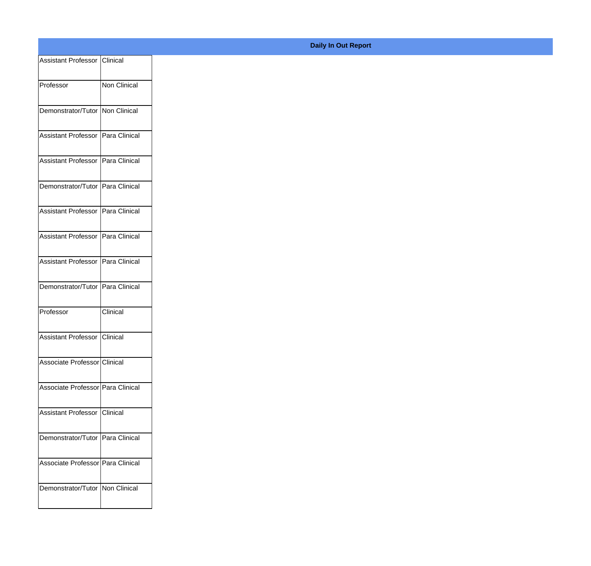| Assistant Professor   Clinical             |                      |  |
|--------------------------------------------|----------------------|--|
| Professor                                  | Non Clinical         |  |
| Demonstrator/Tutor   Non Clinical          |                      |  |
| Assistant Professor   Para Clinical        |                      |  |
| Assistant Professor   Para Clinical        |                      |  |
| Demonstrator/Tutor   Para Clinical         |                      |  |
| <b>Assistant Professor</b>                 | <b>Para Clinical</b> |  |
| Assistant Professor   Para Clinical        |                      |  |
| <b>Assistant Professor   Para Clinical</b> |                      |  |
| Demonstrator/Tutor   Para Clinical         |                      |  |
| Professor                                  | Clinical             |  |
| Assistant Professor   Clinical             |                      |  |
| Associate Professor Clinical               |                      |  |
| Associate Professor   Para Clinical        |                      |  |
| <b>Assistant Professor   Clinical</b>      |                      |  |
| Demonstrator/Tutor   Para Clinical         |                      |  |
| Associate Professor   Para Clinical        |                      |  |
| Demonstrator/Tutor   Non Clinical          |                      |  |
|                                            |                      |  |

## **Daily In Out Report**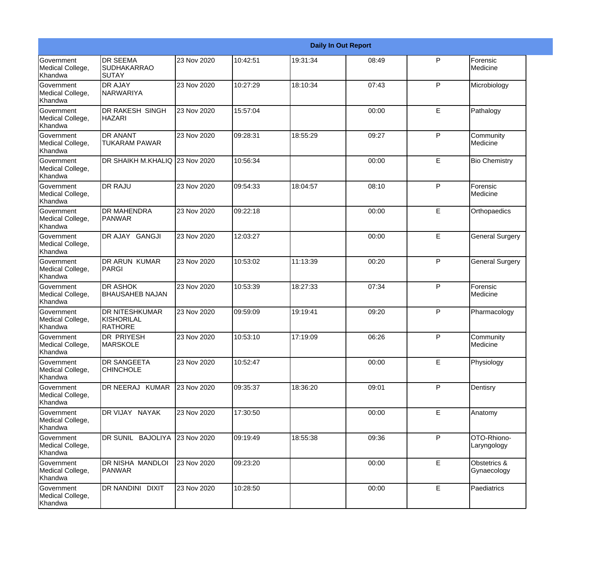|                                                  | <b>Daily In Out Report</b>                            |             |          |          |       |              |                             |  |
|--------------------------------------------------|-------------------------------------------------------|-------------|----------|----------|-------|--------------|-----------------------------|--|
| Government<br>Medical College,<br>Khandwa        | <b>DR SEEMA</b><br><b>SUDHAKARRAO</b><br>SUTAY        | 23 Nov 2020 | 10:42:51 | 19:31:34 | 08:49 | $\mathsf{P}$ | Forensic<br>Medicine        |  |
| Government<br>Medical College,<br>Khandwa        | <b>DR AJAY</b><br><b>NARWARIYA</b>                    | 23 Nov 2020 | 10:27:29 | 18:10:34 | 07:43 | P            | Microbiology                |  |
| <b>Government</b><br>Medical College,<br>Khandwa | <b>DR RAKESH SINGH</b><br>HAZARI                      | 23 Nov 2020 | 15:57:04 |          | 00:00 | E            | Pathalogy                   |  |
| <b>Government</b><br>Medical College,<br>Khandwa | <b>DR ANANT</b><br><b>TUKARAM PAWAR</b>               | 23 Nov 2020 | 09:28:31 | 18:55:29 | 09:27 | P            | Community<br>Medicine       |  |
| Government<br>Medical College,<br>Khandwa        | DR SHAIKH M.KHALIQ 23 Nov 2020                        |             | 10:56:34 |          | 00:00 | E            | <b>Bio Chemistry</b>        |  |
| Government<br>Medical College,<br><b>Khandwa</b> | <b>DR RAJU</b>                                        | 23 Nov 2020 | 09:54:33 | 18:04:57 | 08:10 | P            | Forensic<br>Medicine        |  |
| <b>Government</b><br>Medical College,<br>Khandwa | <b>DR MAHENDRA</b><br><b>IPANWAR</b>                  | 23 Nov 2020 | 09:22:18 |          | 00:00 | E            | Orthopaedics                |  |
| Government<br>Medical College,<br>Khandwa        | DR AJAY GANGJI                                        | 23 Nov 2020 | 12:03:27 |          | 00:00 | E            | <b>General Surgery</b>      |  |
| Government<br>Medical College,<br>Khandwa        | <b>DR ARUN KUMAR</b><br>PARGI                         | 23 Nov 2020 | 10:53:02 | 11:13:39 | 00:20 | $\mathsf{P}$ | <b>General Surgery</b>      |  |
| Government<br>Medical College,<br>Khandwa        | <b>DR ASHOK</b><br><b>BHAUSAHEB NAJAN</b>             | 23 Nov 2020 | 10:53:39 | 18:27:33 | 07:34 | P            | Forensic<br>Medicine        |  |
| <b>Government</b><br>Medical College,<br>Khandwa | <b>DR NITESHKUMAR</b><br>KISHORILAL<br><b>RATHORE</b> | 23 Nov 2020 | 09:59:09 | 19:19:41 | 09:20 | P            | Pharmacology                |  |
| Government<br>Medical College,<br>Khandwa        | <b>DR PRIYESH</b><br><b>MARSKOLE</b>                  | 23 Nov 2020 | 10:53:10 | 17:19:09 | 06:26 | P            | Community<br>Medicine       |  |
| Government<br>Medical College,<br>Khandwa        | <b>DR SANGEETA</b><br><b>CHINCHOLE</b>                | 23 Nov 2020 | 10:52:47 |          | 00:00 | E            | Physiology                  |  |
| Government<br>Medical College,<br>Khandwa        | DR NEERAJ KUMAR                                       | 23 Nov 2020 | 09:35:37 | 18:36:20 | 09:01 | P            | Dentisry                    |  |
| Government<br>Medical College,<br>Khandwa        | DR VIJAY NAYAK                                        | 23 Nov 2020 | 17:30:50 |          | 00:00 | E            | Anatomy                     |  |
| Government<br>Medical College,<br>Khandwa        | DR SUNIL BAJOLIYA                                     | 23 Nov 2020 | 09:19:49 | 18:55:38 | 09:36 | $\mathsf{P}$ | OTO-Rhiono-<br>Laryngology  |  |
| Government<br>Medical College,<br>Khandwa        | DR NISHA MANDLOI<br>PANWAR                            | 23 Nov 2020 | 09:23:20 |          | 00:00 | E            | Obstetrics &<br>Gynaecology |  |
| Government<br>Medical College,<br>Khandwa        | DR NANDINI DIXIT                                      | 23 Nov 2020 | 10:28:50 |          | 00:00 | E            | Paediatrics                 |  |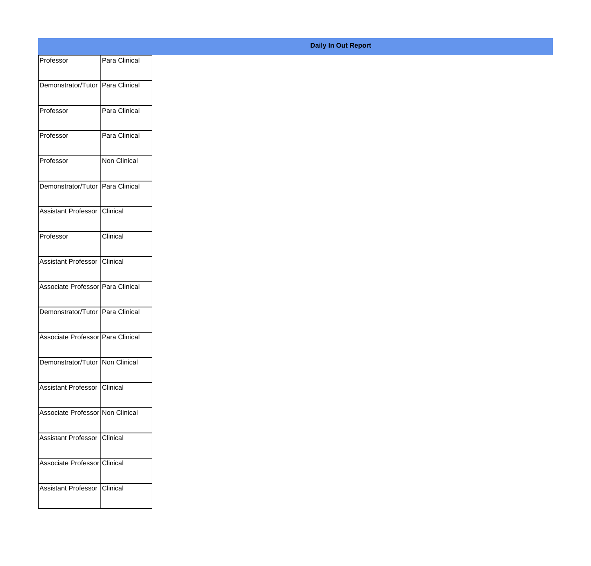| Professor                         | Para Clinical |
|-----------------------------------|---------------|
| Demonstrator/Tutor Para Clinical  |               |
|                                   |               |
| Professor                         | Para Clinical |
| Professor                         | Para Clinical |
| Professor                         | Non Clinical  |
| Demonstrator/Tutor Para Clinical  |               |
| Assistant Professor Clinical      |               |
| Professor                         | Clinical      |
| Assistant Professor               | Clinical      |
|                                   |               |
| Associate Professor Para Clinical |               |
| Demonstrator/Tutor Para Clinical  |               |
| Associate Professor Para Clinical |               |
| Demonstrator/Tutor Non Clinical   |               |
| Assistant Professor Clinical      |               |
| Associate Professor Non Clinical  |               |
|                                   |               |
| Assistant Professor Clinical      |               |
| Associate Professor Clinical      |               |
| Assistant Professor Clinical      |               |
|                                   |               |